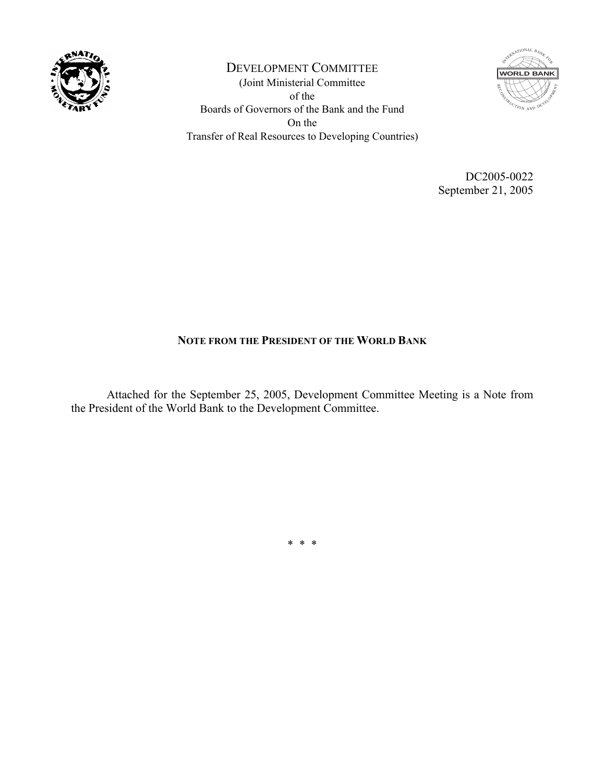

DEVELOPMENT COMMITTEE (Joint Ministerial Committee of the Boards of Governors of the Bank and the Fund On the Transfer of Real Resources to Developing Countries)



DC2005-0022 September 21, 2005

## **NOTE FROM THE PRESIDENT OF THE WORLD BANK**

 Attached for the September 25, 2005, Development Committee Meeting is a Note from the President of the World Bank to the Development Committee.

\* \* \*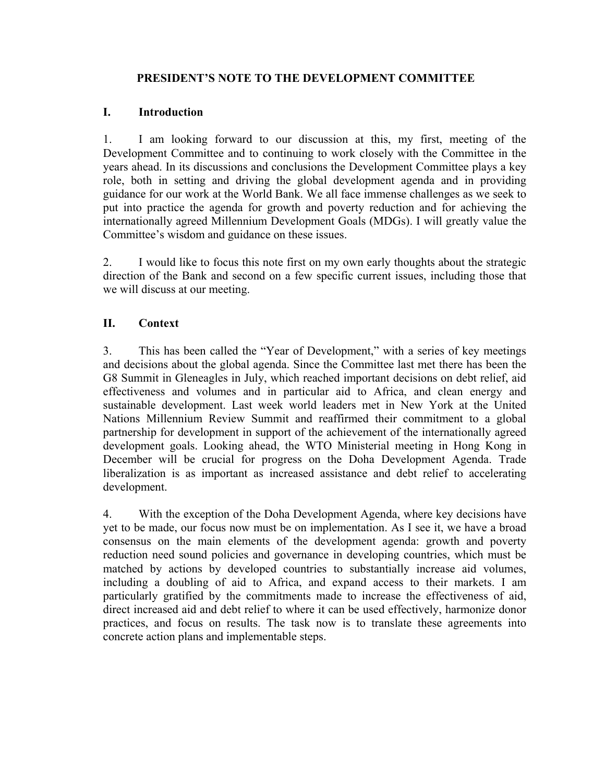### **PRESIDENT'S NOTE TO THE DEVELOPMENT COMMITTEE**

### **I. Introduction**

1. I am looking forward to our discussion at this, my first, meeting of the Development Committee and to continuing to work closely with the Committee in the years ahead. In its discussions and conclusions the Development Committee plays a key role, both in setting and driving the global development agenda and in providing guidance for our work at the World Bank. We all face immense challenges as we seek to put into practice the agenda for growth and poverty reduction and for achieving the internationally agreed Millennium Development Goals (MDGs). I will greatly value the Committee's wisdom and guidance on these issues.

2. I would like to focus this note first on my own early thoughts about the strategic direction of the Bank and second on a few specific current issues, including those that we will discuss at our meeting.

# **II. Context**

3. This has been called the "Year of Development," with a series of key meetings and decisions about the global agenda. Since the Committee last met there has been the G8 Summit in Gleneagles in July, which reached important decisions on debt relief, aid effectiveness and volumes and in particular aid to Africa, and clean energy and sustainable development. Last week world leaders met in New York at the United Nations Millennium Review Summit and reaffirmed their commitment to a global partnership for development in support of the achievement of the internationally agreed development goals. Looking ahead, the WTO Ministerial meeting in Hong Kong in December will be crucial for progress on the Doha Development Agenda. Trade liberalization is as important as increased assistance and debt relief to accelerating development.

4. With the exception of the Doha Development Agenda, where key decisions have yet to be made, our focus now must be on implementation. As I see it, we have a broad consensus on the main elements of the development agenda: growth and poverty reduction need sound policies and governance in developing countries, which must be matched by actions by developed countries to substantially increase aid volumes, including a doubling of aid to Africa, and expand access to their markets. I am particularly gratified by the commitments made to increase the effectiveness of aid, direct increased aid and debt relief to where it can be used effectively, harmonize donor practices, and focus on results. The task now is to translate these agreements into concrete action plans and implementable steps.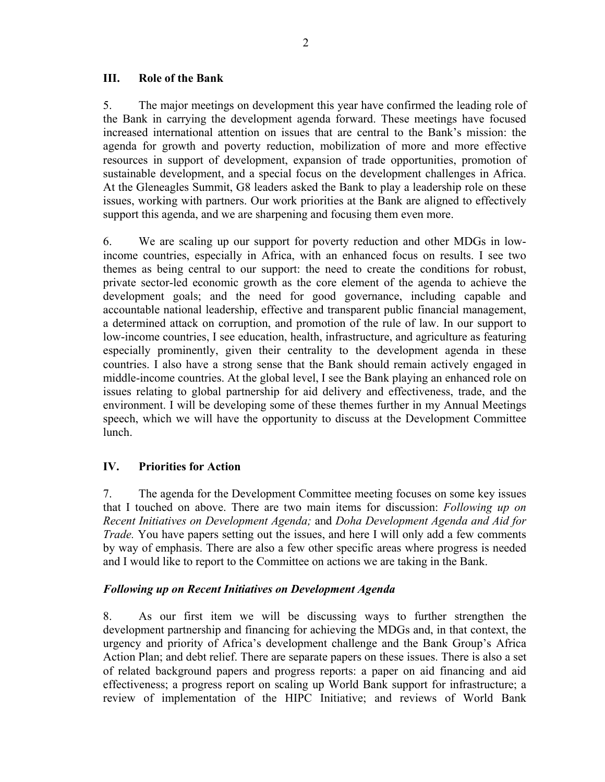#### **III. Role of the Bank**

5. The major meetings on development this year have confirmed the leading role of the Bank in carrying the development agenda forward. These meetings have focused increased international attention on issues that are central to the Bank's mission: the agenda for growth and poverty reduction, mobilization of more and more effective resources in support of development, expansion of trade opportunities, promotion of sustainable development, and a special focus on the development challenges in Africa. At the Gleneagles Summit, G8 leaders asked the Bank to play a leadership role on these issues, working with partners. Our work priorities at the Bank are aligned to effectively support this agenda, and we are sharpening and focusing them even more.

6. We are scaling up our support for poverty reduction and other MDGs in lowincome countries, especially in Africa, with an enhanced focus on results. I see two themes as being central to our support: the need to create the conditions for robust, private sector-led economic growth as the core element of the agenda to achieve the development goals; and the need for good governance, including capable and accountable national leadership, effective and transparent public financial management, a determined attack on corruption, and promotion of the rule of law. In our support to low-income countries, I see education, health, infrastructure, and agriculture as featuring especially prominently, given their centrality to the development agenda in these countries. I also have a strong sense that the Bank should remain actively engaged in middle-income countries. At the global level, I see the Bank playing an enhanced role on issues relating to global partnership for aid delivery and effectiveness, trade, and the environment. I will be developing some of these themes further in my Annual Meetings speech, which we will have the opportunity to discuss at the Development Committee lunch.

### **IV. Priorities for Action**

7. The agenda for the Development Committee meeting focuses on some key issues that I touched on above. There are two main items for discussion: *Following up on Recent Initiatives on Development Agenda;* and *Doha Development Agenda and Aid for Trade.* You have papers setting out the issues, and here I will only add a few comments by way of emphasis. There are also a few other specific areas where progress is needed and I would like to report to the Committee on actions we are taking in the Bank.

### *Following up on Recent Initiatives on Development Agenda*

8. As our first item we will be discussing ways to further strengthen the development partnership and financing for achieving the MDGs and, in that context, the urgency and priority of Africa's development challenge and the Bank Group's Africa Action Plan; and debt relief. There are separate papers on these issues. There is also a set of related background papers and progress reports: a paper on aid financing and aid effectiveness; a progress report on scaling up World Bank support for infrastructure; a review of implementation of the HIPC Initiative; and reviews of World Bank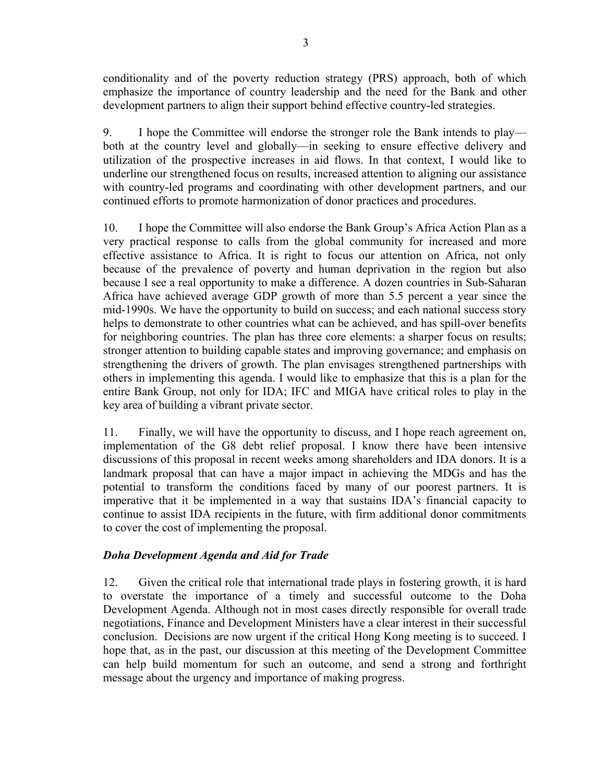conditionality and of the poverty reduction strategy (PRS) approach, both of which emphasize the importance of country leadership and the need for the Bank and other development partners to align their support behind effective country-led strategies.

9. I hope the Committee will endorse the stronger role the Bank intends to play both at the country level and globally—in seeking to ensure effective delivery and utilization of the prospective increases in aid flows. In that context, I would like to underline our strengthened focus on results, increased attention to aligning our assistance with country-led programs and coordinating with other development partners, and our continued efforts to promote harmonization of donor practices and procedures.

10. I hope the Committee will also endorse the Bank Group's Africa Action Plan as a very practical response to calls from the global community for increased and more effective assistance to Africa. It is right to focus our attention on Africa, not only because of the prevalence of poverty and human deprivation in the region but also because I see a real opportunity to make a difference. A dozen countries in Sub-Saharan Africa have achieved average GDP growth of more than 5.5 percent a year since the mid-1990s. We have the opportunity to build on success; and each national success story helps to demonstrate to other countries what can be achieved, and has spill-over benefits for neighboring countries. The plan has three core elements: a sharper focus on results; stronger attention to building capable states and improving governance; and emphasis on strengthening the drivers of growth. The plan envisages strengthened partnerships with others in implementing this agenda. I would like to emphasize that this is a plan for the entire Bank Group, not only for IDA; IFC and MIGA have critical roles to play in the key area of building a vibrant private sector.

11. Finally, we will have the opportunity to discuss, and I hope reach agreement on, implementation of the G8 debt relief proposal. I know there have been intensive discussions of this proposal in recent weeks among shareholders and IDA donors. It is a landmark proposal that can have a major impact in achieving the MDGs and has the potential to transform the conditions faced by many of our poorest partners. It is imperative that it be implemented in a way that sustains IDA's financial capacity to continue to assist IDA recipients in the future, with firm additional donor commitments to cover the cost of implementing the proposal.

### *Doha Development Agenda and Aid for Trade*

12. Given the critical role that international trade plays in fostering growth, it is hard to overstate the importance of a timely and successful outcome to the Doha Development Agenda. Although not in most cases directly responsible for overall trade negotiations, Finance and Development Ministers have a clear interest in their successful conclusion. Decisions are now urgent if the critical Hong Kong meeting is to succeed. I hope that, as in the past, our discussion at this meeting of the Development Committee can help build momentum for such an outcome, and send a strong and forthright message about the urgency and importance of making progress.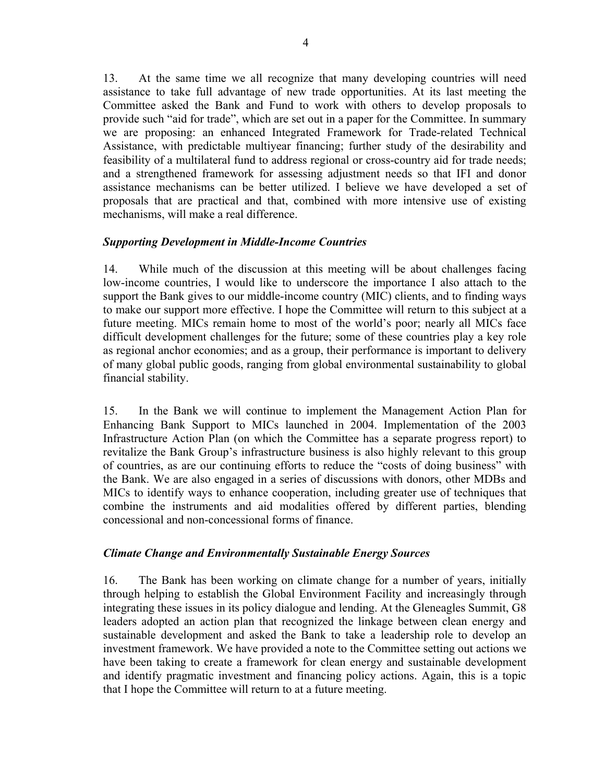13. At the same time we all recognize that many developing countries will need assistance to take full advantage of new trade opportunities. At its last meeting the Committee asked the Bank and Fund to work with others to develop proposals to provide such "aid for trade", which are set out in a paper for the Committee. In summary we are proposing: an enhanced Integrated Framework for Trade-related Technical Assistance, with predictable multiyear financing; further study of the desirability and feasibility of a multilateral fund to address regional or cross-country aid for trade needs; and a strengthened framework for assessing adjustment needs so that IFI and donor assistance mechanisms can be better utilized. I believe we have developed a set of proposals that are practical and that, combined with more intensive use of existing mechanisms, will make a real difference.

### *Supporting Development in Middle-Income Countries*

14. While much of the discussion at this meeting will be about challenges facing low-income countries, I would like to underscore the importance I also attach to the support the Bank gives to our middle-income country (MIC) clients, and to finding ways to make our support more effective. I hope the Committee will return to this subject at a future meeting. MICs remain home to most of the world's poor; nearly all MICs face difficult development challenges for the future; some of these countries play a key role as regional anchor economies; and as a group, their performance is important to delivery of many global public goods, ranging from global environmental sustainability to global financial stability.

15. In the Bank we will continue to implement the Management Action Plan for Enhancing Bank Support to MICs launched in 2004. Implementation of the 2003 Infrastructure Action Plan (on which the Committee has a separate progress report) to revitalize the Bank Group's infrastructure business is also highly relevant to this group of countries, as are our continuing efforts to reduce the "costs of doing business" with the Bank. We are also engaged in a series of discussions with donors, other MDBs and MICs to identify ways to enhance cooperation, including greater use of techniques that combine the instruments and aid modalities offered by different parties, blending concessional and non-concessional forms of finance.

#### *Climate Change and Environmentally Sustainable Energy Sources*

16. The Bank has been working on climate change for a number of years, initially through helping to establish the Global Environment Facility and increasingly through integrating these issues in its policy dialogue and lending. At the Gleneagles Summit, G8 leaders adopted an action plan that recognized the linkage between clean energy and sustainable development and asked the Bank to take a leadership role to develop an investment framework. We have provided a note to the Committee setting out actions we have been taking to create a framework for clean energy and sustainable development and identify pragmatic investment and financing policy actions. Again, this is a topic that I hope the Committee will return to at a future meeting.